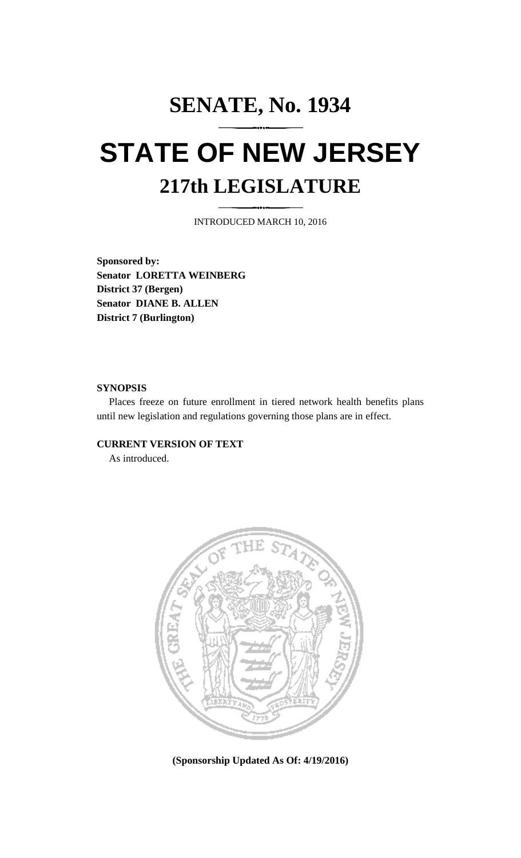## **SENATE, No. 1934 STATE OF NEW JERSEY 217th LEGISLATURE**

INTRODUCED MARCH 10, 2016

**Sponsored by: Senator LORETTA WEINBERG District 37 (Bergen) Senator DIANE B. ALLEN District 7 (Burlington)**

## **SYNOPSIS**

Places freeze on future enrollment in tiered network health benefits plans until new legislation and regulations governing those plans are in effect.

## **CURRENT VERSION OF TEXT**

As introduced.



**(Sponsorship Updated As Of: 4/19/2016)**